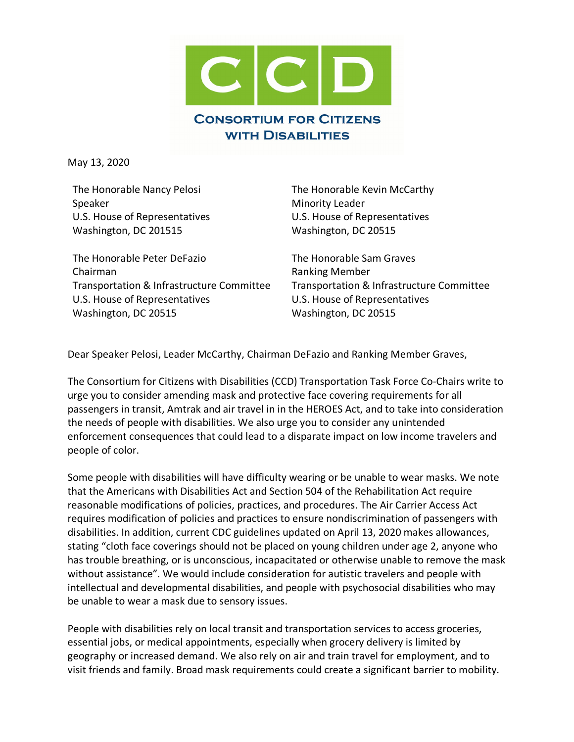

May 13, 2020

The Honorable Nancy Pelosi Speaker U.S. House of Representatives Washington, DC 201515

The Honorable Peter DeFazio Chairman Transportation & Infrastructure Committee U.S. House of Representatives Washington, DC 20515

The Honorable Kevin McCarthy Minority Leader U.S. House of Representatives Washington, DC 20515

The Honorable Sam Graves Ranking Member Transportation & Infrastructure Committee U.S. House of Representatives Washington, DC 20515

Dear Speaker Pelosi, Leader McCarthy, Chairman DeFazio and Ranking Member Graves,

The Consortium for Citizens with Disabilities (CCD) Transportation Task Force Co-Chairs write to urge you to consider amending mask and protective face covering requirements for all passengers in transit, Amtrak and air travel in in the HEROES Act, and to take into consideration the needs of people with disabilities. We also urge you to consider any unintended enforcement consequences that could lead to a disparate impact on low income travelers and people of color.

Some people with disabilities will have difficulty wearing or be unable to wear masks. We note that the Americans with Disabilities Act and Section 504 of the Rehabilitation Act require reasonable modifications of policies, practices, and procedures. The Air Carrier Access Act requires modification of policies and practices to ensure nondiscrimination of passengers with disabilities. In addition, current CDC guidelines updated on April 13, 2020 makes allowances, stating "cloth face coverings should not be placed on young children under age 2, anyone who has trouble breathing, or is unconscious, incapacitated or otherwise unable to remove the mask without assistance". We would include consideration for autistic travelers and people with intellectual and developmental disabilities, and people with psychosocial disabilities who may be unable to wear a mask due to sensory issues.

People with disabilities rely on local transit and transportation services to access groceries, essential jobs, or medical appointments, especially when grocery delivery is limited by geography or increased demand. We also rely on air and train travel for employment, and to visit friends and family. Broad mask requirements could create a significant barrier to mobility.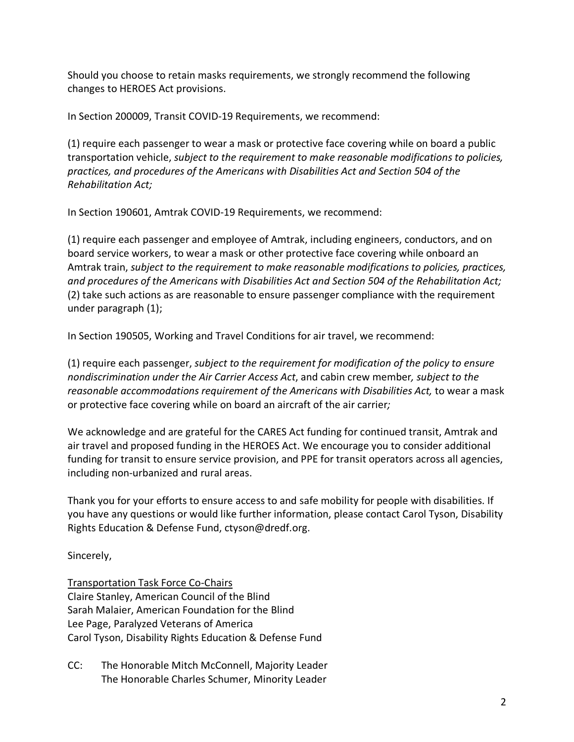Should you choose to retain masks requirements, we strongly recommend the following changes to HEROES Act provisions.

In Section 200009, Transit COVID-19 Requirements, we recommend:

(1) require each passenger to wear a mask or protective face covering while on board a public transportation vehicle, *subject to the requirement to make reasonable modifications to policies, practices, and procedures of the Americans with Disabilities Act and Section 504 of the Rehabilitation Act;*

In Section 190601, Amtrak COVID-19 Requirements, we recommend:

(1) require each passenger and employee of Amtrak, including engineers, conductors, and on board service workers, to wear a mask or other protective face covering while onboard an Amtrak train, *subject to the requirement to make reasonable modifications to policies, practices, and procedures of the Americans with Disabilities Act and Section 504 of the Rehabilitation Act;* (2) take such actions as are reasonable to ensure passenger compliance with the requirement under paragraph (1);

In Section 190505, Working and Travel Conditions for air travel, we recommend:

(1) require each passenger, *subject to the requirement for modification of the policy to ensure nondiscrimination under the Air Carrier Access Act*, and cabin crew member*, subject to the*  reasonable accommodations requirement of the Americans with Disabilities Act, to wear a mask or protective face covering while on board an aircraft of the air carrier*;*

We acknowledge and are grateful for the CARES Act funding for continued transit, Amtrak and air travel and proposed funding in the HEROES Act. We encourage you to consider additional funding for transit to ensure service provision, and PPE for transit operators across all agencies, including non-urbanized and rural areas.

Thank you for your efforts to ensure access to and safe mobility for people with disabilities. If you have any questions or would like further information, please contact Carol Tyson, Disability Rights Education & Defense Fund, ctyson@dredf.org.

Sincerely,

Transportation Task Force Co-Chairs Claire Stanley, American Council of the Blind Sarah Malaier, American Foundation for the Blind Lee Page, Paralyzed Veterans of America Carol Tyson, Disability Rights Education & Defense Fund

CC: The Honorable Mitch McConnell, Majority Leader The Honorable Charles Schumer, Minority Leader